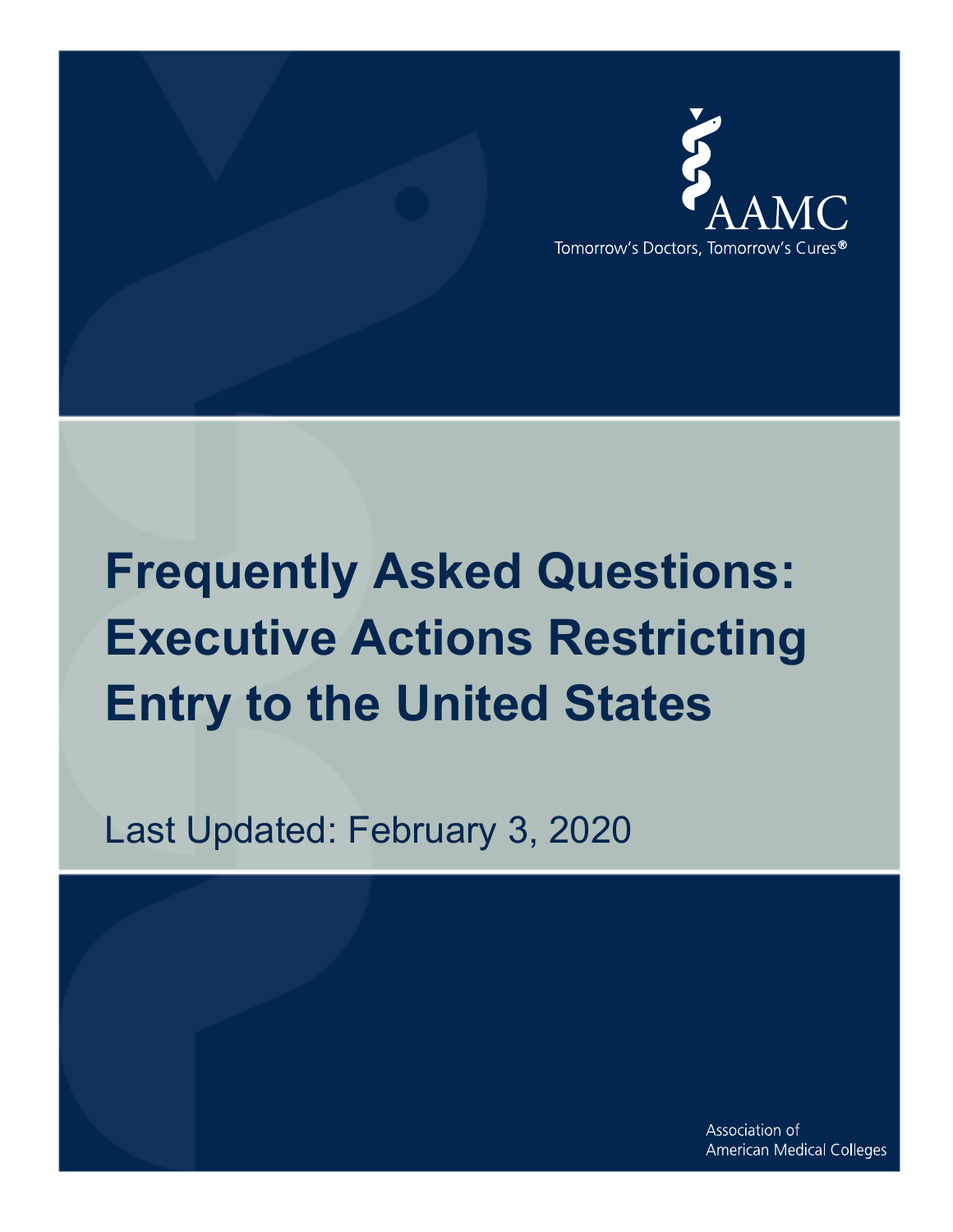

# **Frequently Asked Questions: Executive Actions Restricting Entry to the United States**

Last Updated: February 3, 2020

Association of American Medical Colleges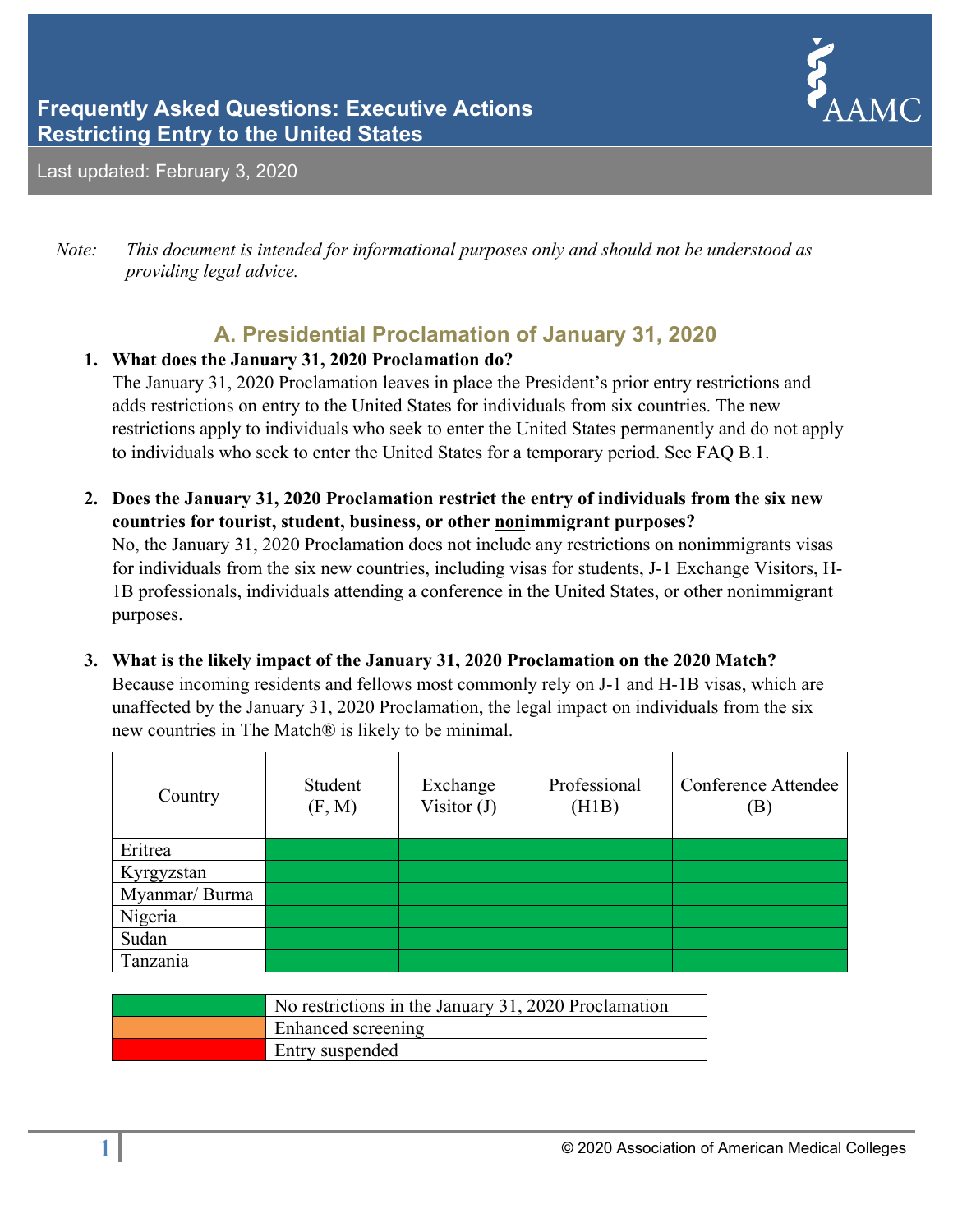# **Frequently Asked Questions: Executive Actions Restricting Entry to the United States**



Last updated: February 3, 2020

*Note: This document is intended for informational purposes only and should not be understood as providing legal advice.* 

# **A. Presidential Proclamation of January 31, 2020**

# **1. What does the January 31, 2020 Proclamation do?**

The January 31, 2020 Proclamation leaves in place the President's prior entry restrictions and adds restrictions on entry to the United States for individuals from six countries. The new restrictions apply to individuals who seek to enter the United States permanently and do not apply to individuals who seek to enter the United States for a temporary period. See FAQ B.1.

- **2. Does the January 31, 2020 Proclamation restrict the entry of individuals from the six new countries for tourist, student, business, or other nonimmigrant purposes?**  No, the January 31, 2020 Proclamation does not include any restrictions on nonimmigrants visas for individuals from the six new countries, including visas for students, J-1 Exchange Visitors, H-1B professionals, individuals attending a conference in the United States, or other nonimmigrant purposes.
- **3. What is the likely impact of the January 31, 2020 Proclamation on the 2020 Match?**  Because incoming residents and fellows most commonly rely on J-1 and H-1B visas, which are unaffected by the January 31, 2020 Proclamation, the legal impact on individuals from the six new countries in The Match® is likely to be minimal.

| Country        | Student<br>(F, M) | Exchange<br>Visitor $(J)$ | Professional<br>(H1B) | Conference Attendee<br>$\mathbf{B}$ |
|----------------|-------------------|---------------------------|-----------------------|-------------------------------------|
| Eritrea        |                   |                           |                       |                                     |
| Kyrgyzstan     |                   |                           |                       |                                     |
| Myanmar/ Burma |                   |                           |                       |                                     |
| Nigeria        |                   |                           |                       |                                     |
| Sudan          |                   |                           |                       |                                     |
| Tanzania       |                   |                           |                       |                                     |

| No restrictions in the January 31, 2020 Proclamation |
|------------------------------------------------------|
| Enhanced screening                                   |
| Entry suspended                                      |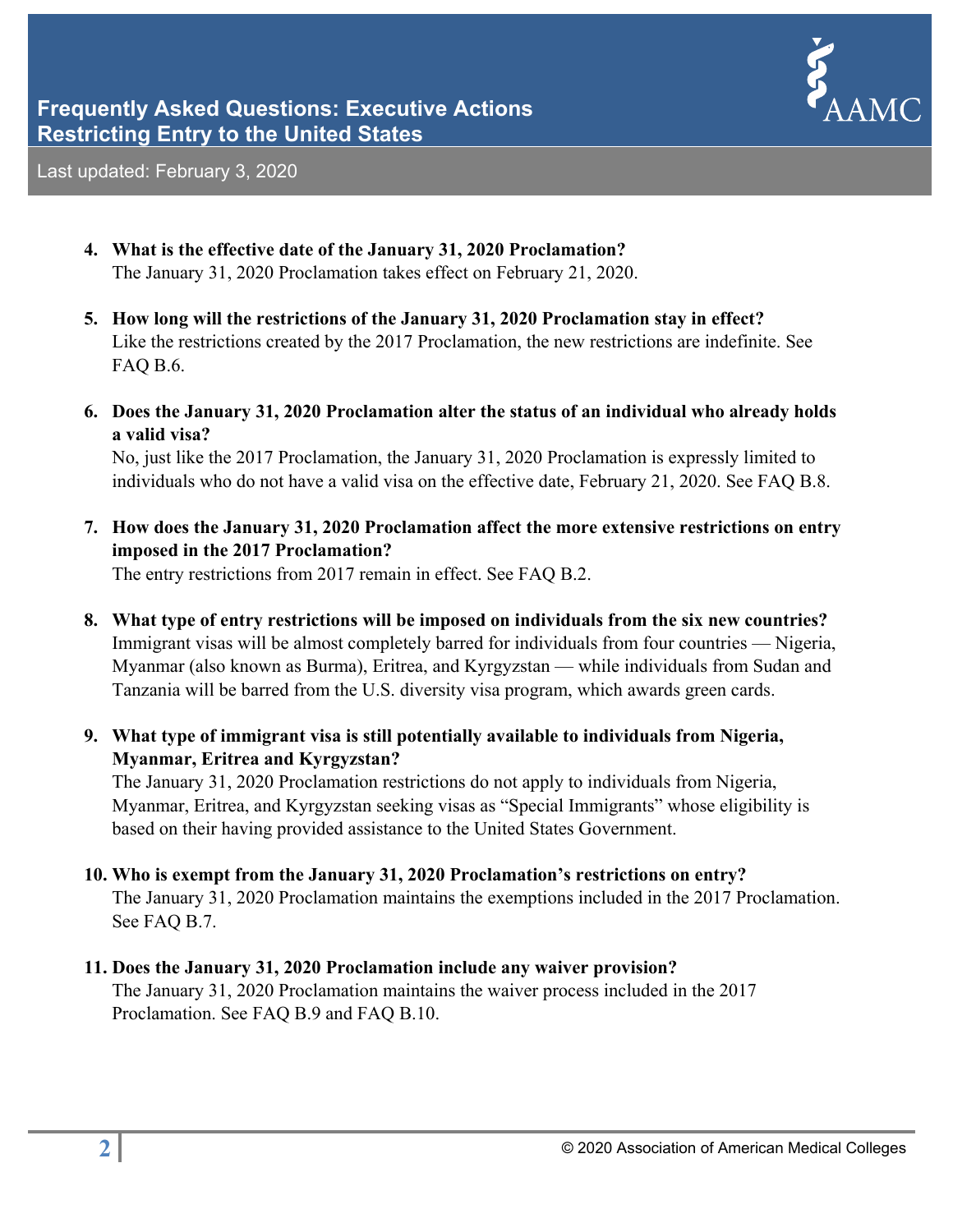

- **4. What is the effective date of the January 31, 2020 Proclamation?**  The January 31, 2020 Proclamation takes effect on February 21, 2020.
- **5. How long will the restrictions of the January 31, 2020 Proclamation stay in effect?**  Like the restrictions created by the 2017 Proclamation, the new restrictions are indefinite. See FAQ B.6.
- **6. Does the January 31, 2020 Proclamation alter the status of an individual who already holds a valid visa?**

No, just like the 2017 Proclamation, the January 31, 2020 Proclamation is expressly limited to individuals who do not have a valid visa on the effective date, February 21, 2020. See FAQ B.8.

**7. How does the January 31, 2020 Proclamation affect the more extensive restrictions on entry imposed in the 2017 Proclamation?** 

The entry restrictions from 2017 remain in effect. See FAQ B.2.

- **8. What type of entry restrictions will be imposed on individuals from the six new countries?**  Immigrant visas will be almost completely barred for individuals from four countries — Nigeria, Myanmar (also known as Burma), Eritrea, and Kyrgyzstan — while individuals from Sudan and Tanzania will be barred from the U.S. diversity visa program, which awards green cards.
- **9. What type of immigrant visa is still potentially available to individuals from Nigeria, Myanmar, Eritrea and Kyrgyzstan?**

The January 31, 2020 Proclamation restrictions do not apply to individuals from Nigeria, Myanmar, Eritrea, and Kyrgyzstan seeking visas as "Special Immigrants" whose eligibility is based on their having provided assistance to the United States Government.

**10. Who is exempt from the January 31, 2020 Proclamation's restrictions on entry?** 

The January 31, 2020 Proclamation maintains the exemptions included in the 2017 Proclamation. See FAQ B.7.

## **11. Does the January 31, 2020 Proclamation include any waiver provision?**

The January 31, 2020 Proclamation maintains the waiver process included in the 2017 Proclamation. See FAQ B.9 and FAQ B.10.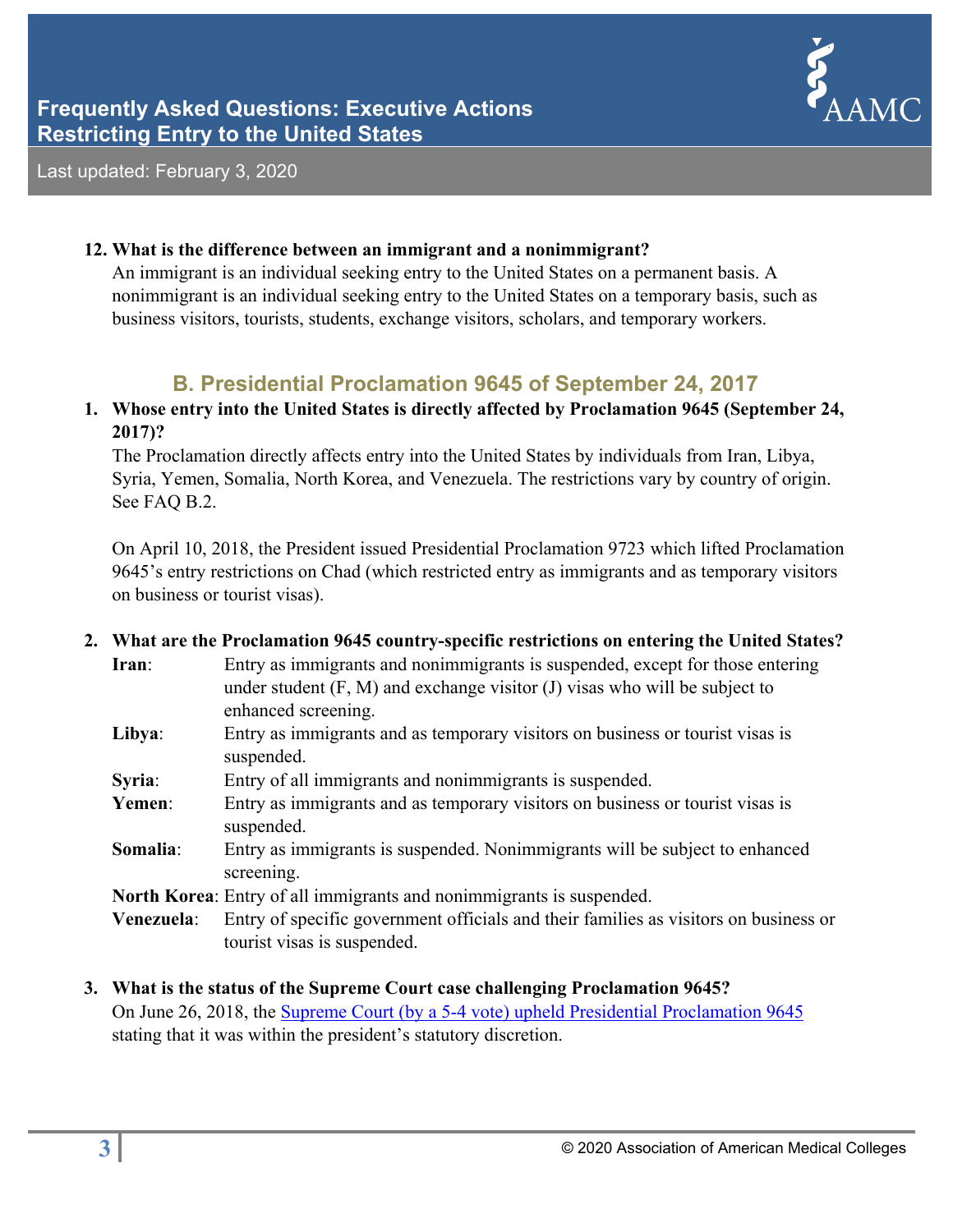

#### **12. What is the difference between an immigrant and a nonimmigrant?**

An immigrant is an individual seeking entry to the United States on a permanent basis. A nonimmigrant is an individual seeking entry to the United States on a temporary basis, such as business visitors, tourists, students, exchange visitors, scholars, and temporary workers.

# **B. Presidential Proclamation 9645 of September 24, 2017**

**1. Whose entry into the United States is directly affected by Proclamation 9645 (September 24, 2017)?** 

The Proclamation directly affects entry into the United States by individuals from Iran, Libya, Syria, Yemen, Somalia, North Korea, and Venezuela. The restrictions vary by country of origin. See FAQ B.2.

On April 10, 2018, the President issued Presidential Proclamation 9723 which lifted Proclamation 9645's entry restrictions on Chad (which restricted entry as immigrants and as temporary visitors on business or tourist visas).

## **2. What are the Proclamation 9645 country-specific restrictions on entering the United States? Iran**: Entry as immigrants and nonimmigrants is suspended, except for those entering under student  $(F, M)$  and exchange visitor  $(J)$  visas who will be subject to enhanced screening. **Libya**: Entry as immigrants and as temporary visitors on business or tourist visas is suspended. **Syria**: Entry of all immigrants and nonimmigrants is suspended. **Yemen**: Entry as immigrants and as temporary visitors on business or tourist visas is suspended. **Somalia**: Entry as immigrants is suspended. Nonimmigrants will be subject to enhanced screening. **North Korea**: Entry of all immigrants and nonimmigrants is suspended. **Venezuela**: Entry of specific government officials and their families as visitors on business or tourist visas is suspended.

## **3. What is the status of the Supreme Court case challenging Proclamation 9645?**  On June 26, 2018, the Supreme Court (by a 5-4 vote) upheld Presidential Proclamation 9645 stating that it was within the president's statutory discretion.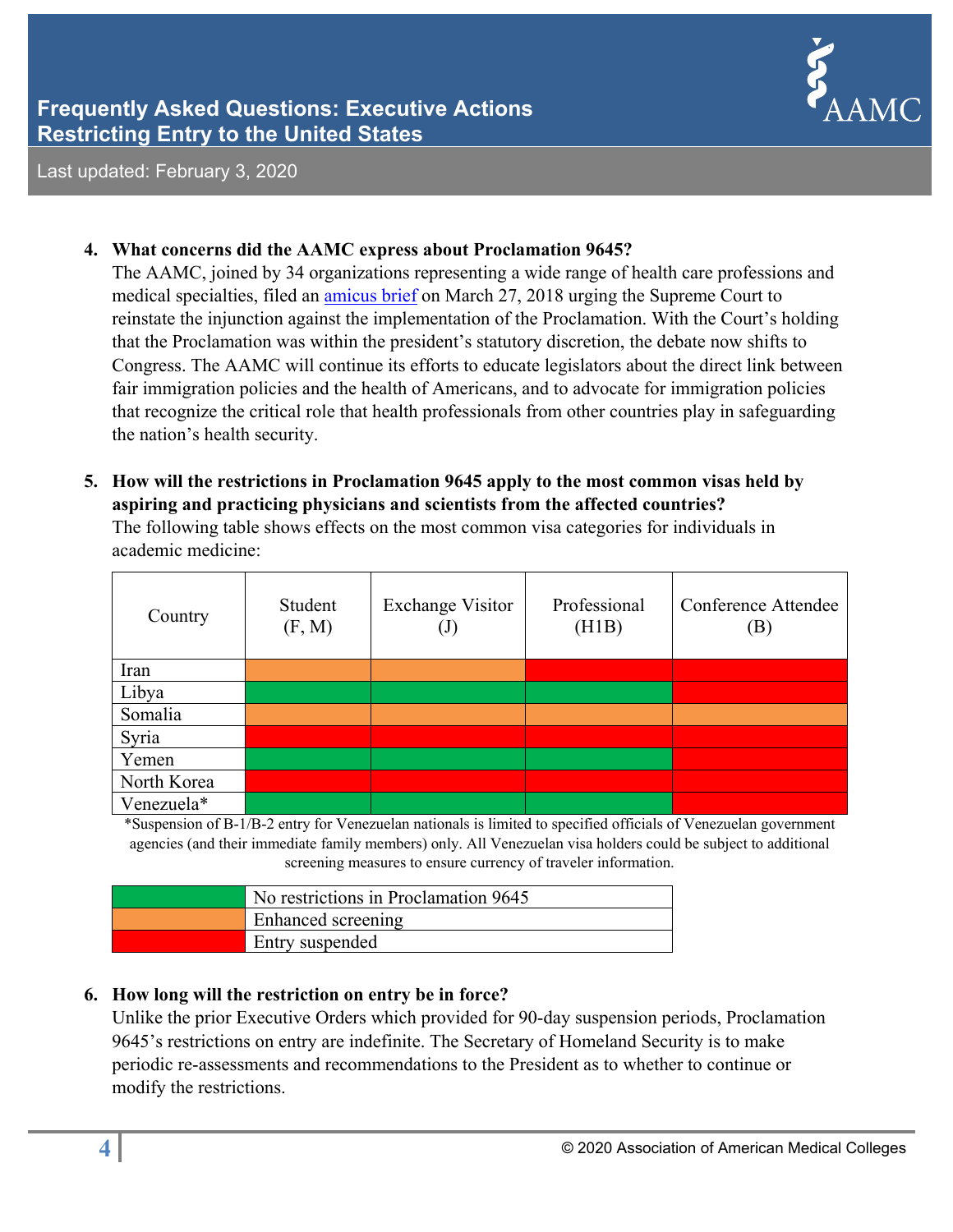

#### **4. What concerns did the AAMC express about Proclamation 9645?**

The AAMC, joined by 34 organizations representing a wide range of health care professions and medical specialties, filed an amicus brief on March 27, 2018 urging the Supreme Court to reinstate the injunction against the implementation of the Proclamation. With the Court's holding that the Proclamation was within the president's statutory discretion, the debate now shifts to Congress. The AAMC will continue its efforts to educate legislators about the direct link between fair immigration policies and the health of Americans, and to advocate for immigration policies that recognize the critical role that health professionals from other countries play in safeguarding the nation's health security.

# **5. How will the restrictions in Proclamation 9645 apply to the most common visas held by aspiring and practicing physicians and scientists from the affected countries?**

The following table shows effects on the most common visa categories for individuals in academic medicine:

| Country     | Student<br>(F, M) | <b>Exchange Visitor</b><br>$\left( \mathrm{J}\right)$ | Professional<br>(H1B) | Conference Attendee<br>$\left[\mathrm{B}\right]$ |
|-------------|-------------------|-------------------------------------------------------|-----------------------|--------------------------------------------------|
| Iran        |                   |                                                       |                       |                                                  |
| Libya       |                   |                                                       |                       |                                                  |
| Somalia     |                   |                                                       |                       |                                                  |
| Syria       |                   |                                                       |                       |                                                  |
| Yemen       |                   |                                                       |                       |                                                  |
| North Korea |                   |                                                       |                       |                                                  |
| Venezuela*  |                   |                                                       |                       |                                                  |

\*Suspension of B-1/B-2 entry for Venezuelan nationals is limited to specified officials of Venezuelan government agencies (and their immediate family members) only. All Venezuelan visa holders could be subject to additional screening measures to ensure currency of traveler information.

| No restrictions in Proclamation 9645 |
|--------------------------------------|
| Enhanced screening                   |
| Entry suspended                      |

## **6. How long will the restriction on entry be in force?**

Unlike the prior Executive Orders which provided for 90-day suspension periods, Proclamation 9645's restrictions on entry are indefinite. The Secretary of Homeland Security is to make periodic re-assessments and recommendations to the President as to whether to continue or modify the restrictions.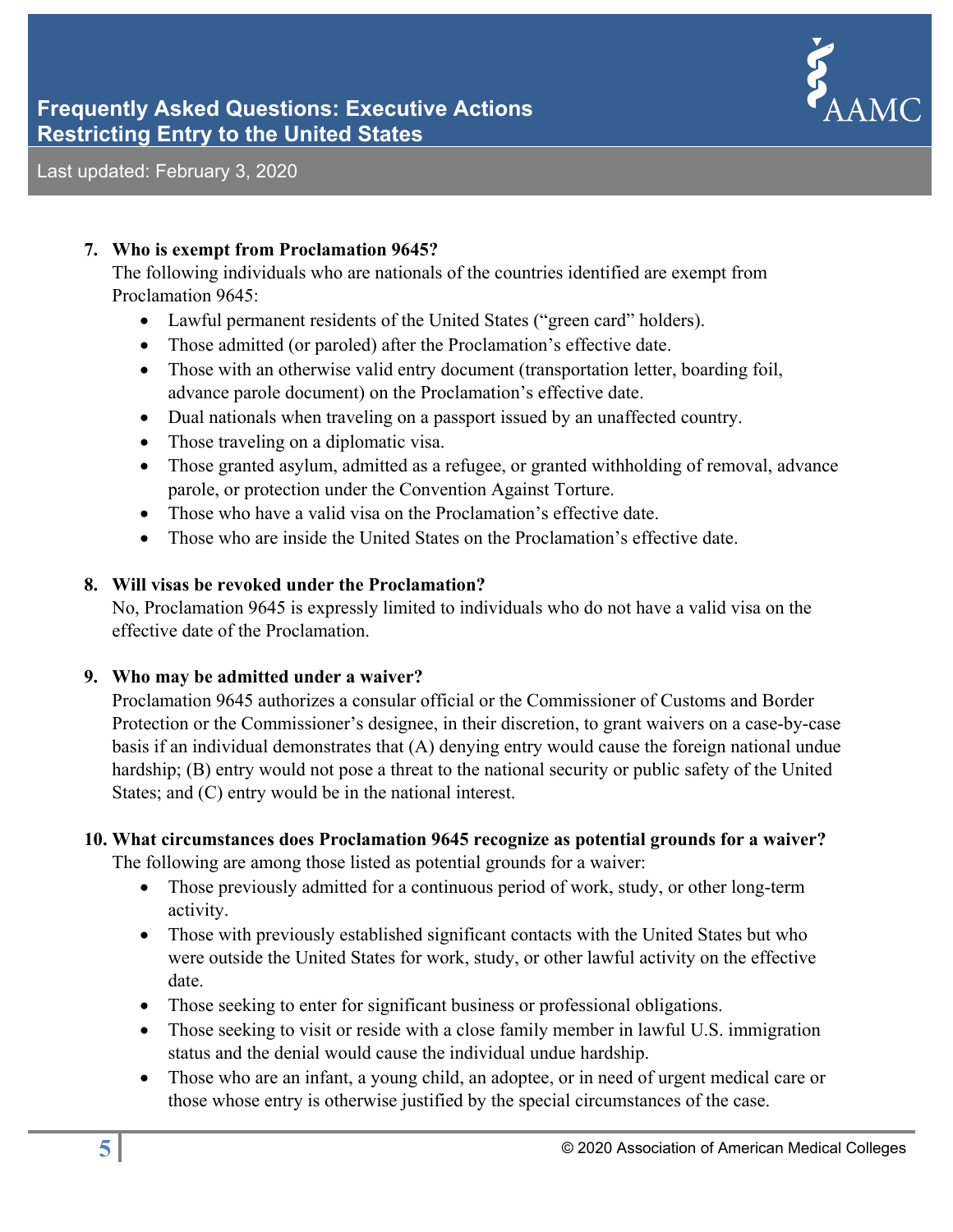# **Frequently Asked Questions: Executive Actions Restricting Entry to the United States**



Last updated: February 3, 2020

#### **7. Who is exempt from Proclamation 9645?**

The following individuals who are nationals of the countries identified are exempt from Proclamation 9645:

- Lawful permanent residents of the United States ("green card" holders).
- Those admitted (or paroled) after the Proclamation's effective date.
- Those with an otherwise valid entry document (transportation letter, boarding foil, advance parole document) on the Proclamation's effective date.
- Dual nationals when traveling on a passport issued by an unaffected country.
- Those traveling on a diplomatic visa.
- Those granted asylum, admitted as a refugee, or granted withholding of removal, advance parole, or protection under the Convention Against Torture.
- Those who have a valid visa on the Proclamation's effective date.
- Those who are inside the United States on the Proclamation's effective date.

#### **8. Will visas be revoked under the Proclamation?**

No, Proclamation 9645 is expressly limited to individuals who do not have a valid visa on the effective date of the Proclamation.

#### **9. Who may be admitted under a waiver?**

Proclamation 9645 authorizes a consular official or the Commissioner of Customs and Border Protection or the Commissioner's designee, in their discretion, to grant waivers on a case-by-case basis if an individual demonstrates that (A) denying entry would cause the foreign national undue hardship; (B) entry would not pose a threat to the national security or public safety of the United States; and (C) entry would be in the national interest.

#### **10. What circumstances does Proclamation 9645 recognize as potential grounds for a waiver?**

The following are among those listed as potential grounds for a waiver:

- Those previously admitted for a continuous period of work, study, or other long-term activity.
- Those with previously established significant contacts with the United States but who were outside the United States for work, study, or other lawful activity on the effective date.
- Those seeking to enter for significant business or professional obligations.
- Those seeking to visit or reside with a close family member in lawful U.S. immigration status and the denial would cause the individual undue hardship.
- Those who are an infant, a young child, an adoptee, or in need of urgent medical care or those whose entry is otherwise justified by the special circumstances of the case.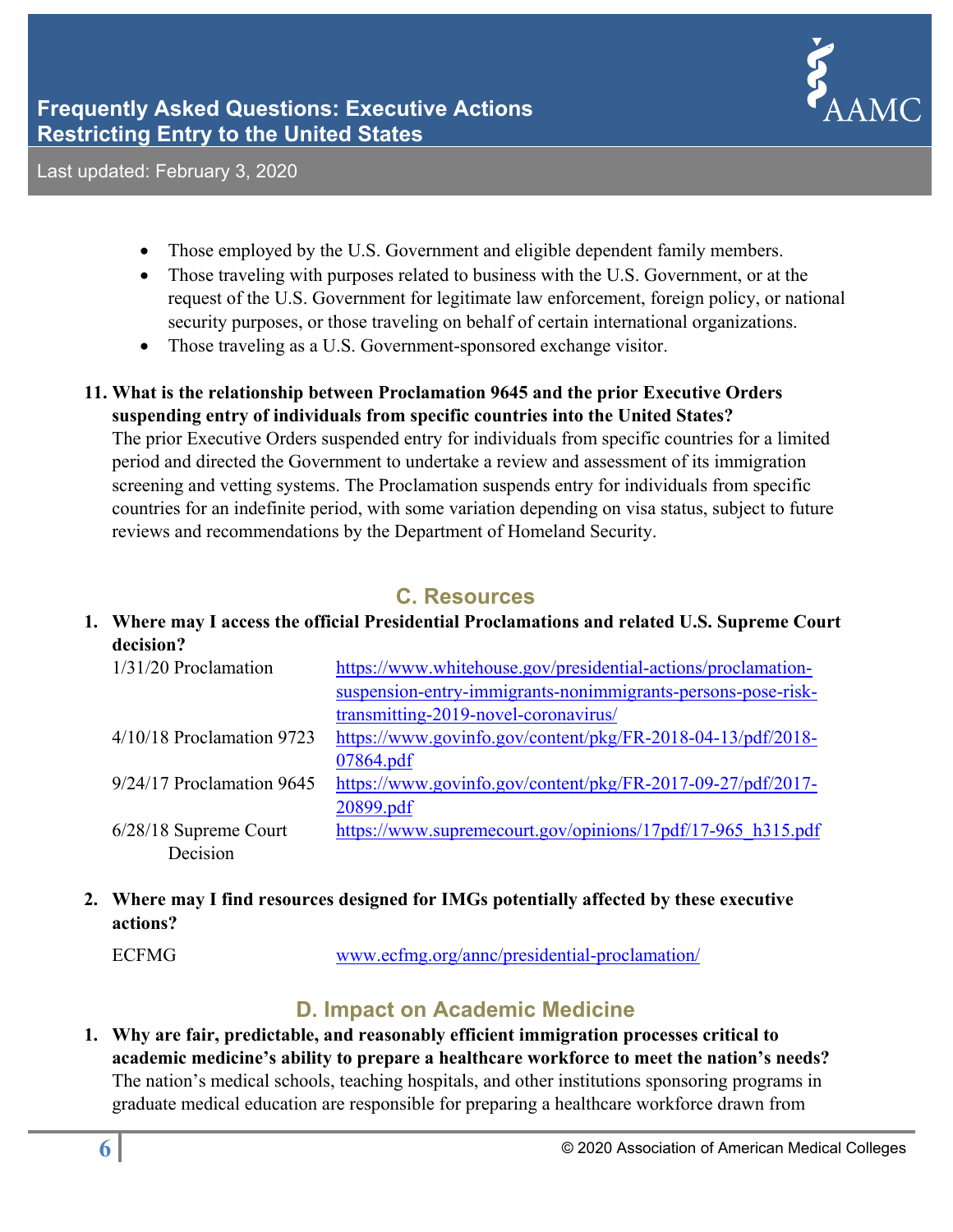

- Those employed by the U.S. Government and eligible dependent family members.
- Those traveling with purposes related to business with the U.S. Government, or at the request of the U.S. Government for legitimate law enforcement, foreign policy, or national security purposes, or those traveling on behalf of certain international organizations.
- Those traveling as a U.S. Government-sponsored exchange visitor.

# **11. What is the relationship between Proclamation 9645 and the prior Executive Orders suspending entry of individuals from specific countries into the United States?**

The prior Executive Orders suspended entry for individuals from specific countries for a limited period and directed the Government to undertake a review and assessment of its immigration screening and vetting systems. The Proclamation suspends entry for individuals from specific countries for an indefinite period, with some variation depending on visa status, subject to future reviews and recommendations by the Department of Homeland Security.

# **C. Resources**

**1. Where may I access the official Presidential Proclamations and related U.S. Supreme Court decision?**

| $1/31/20$ Proclamation      | https://www.whitehouse.gov/presidential-actions/proclamation- |
|-----------------------------|---------------------------------------------------------------|
|                             | suspension-entry-immigrants-nonimmigrants-persons-pose-risk-  |
|                             | transmitting-2019-novel-coronavirus/                          |
| $4/10/18$ Proclamation 9723 | https://www.govinfo.gov/content/pkg/FR-2018-04-13/pdf/2018-   |
|                             | 07864.pdf                                                     |
| 9/24/17 Proclamation 9645   | https://www.govinfo.gov/content/pkg/FR-2017-09-27/pdf/2017-   |
|                             | 20899.pdf                                                     |
| 6/28/18 Supreme Court       | https://www.supremecourt.gov/opinions/17pdf/17-965 h315.pdf   |
| Decision                    |                                                               |

# **2. Where may I find resources designed for IMGs potentially affected by these executive actions?**

ECFMG www.ecfmg.org/annc/presidential-proclamation/

# **D. Impact on Academic Medicine**

**1. Why are fair, predictable, and reasonably efficient immigration processes critical to academic medicine's ability to prepare a healthcare workforce to meet the nation's needs?**  The nation's medical schools, teaching hospitals, and other institutions sponsoring programs in graduate medical education are responsible for preparing a healthcare workforce drawn from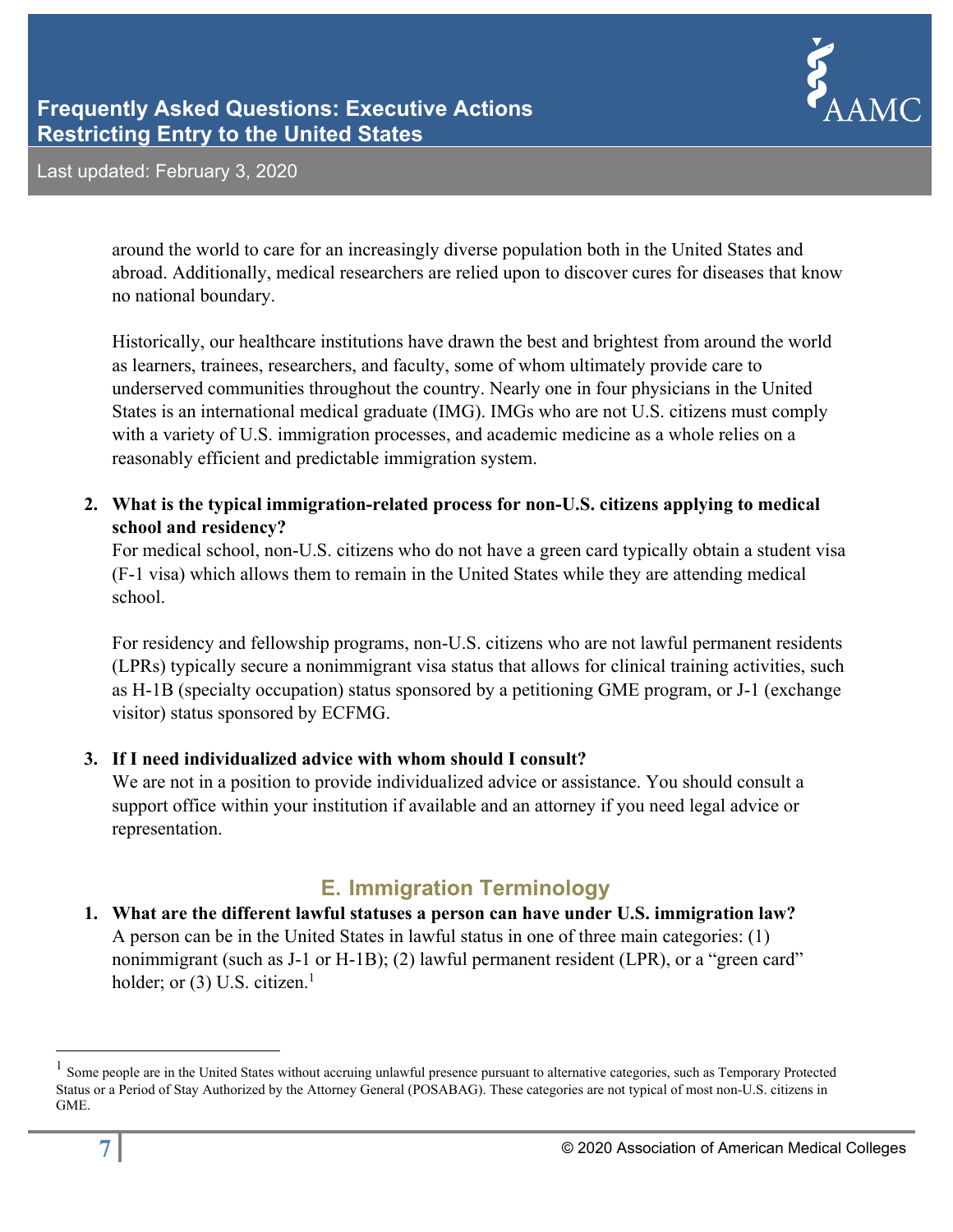

around the world to care for an increasingly diverse population both in the United States and abroad. Additionally, medical researchers are relied upon to discover cures for diseases that know no national boundary.

Historically, our healthcare institutions have drawn the best and brightest from around the world as learners, trainees, researchers, and faculty, some of whom ultimately provide care to underserved communities throughout the country. Nearly one in four physicians in the United States is an international medical graduate (IMG). IMGs who are not U.S. citizens must comply with a variety of U.S. immigration processes, and academic medicine as a whole relies on a reasonably efficient and predictable immigration system.

**2. What is the typical immigration-related process for non-U.S. citizens applying to medical school and residency?** 

For medical school, non-U.S. citizens who do not have a green card typically obtain a student visa (F-1 visa) which allows them to remain in the United States while they are attending medical school.

For residency and fellowship programs, non-U.S. citizens who are not lawful permanent residents (LPRs) typically secure a nonimmigrant visa status that allows for clinical training activities, such as H-1B (specialty occupation) status sponsored by a petitioning GME program, or J-1 (exchange visitor) status sponsored by ECFMG.

#### **3. If I need individualized advice with whom should I consult?**

We are not in a position to provide individualized advice or assistance. You should consult a support office within your institution if available and an attorney if you need legal advice or representation.

# **E. Immigration Terminology**

## **1. What are the different lawful statuses a person can have under U.S. immigration law?**  A person can be in the United States in lawful status in one of three main categories: (1) nonimmigrant (such as J-1 or H-1B); (2) lawful permanent resident (LPR), or a "green card" holder; or  $(3)$  U.S. citizen.<sup>1</sup>

 $\overline{a}$ 

<sup>1</sup> Some people are in the United States without accruing unlawful presence pursuant to alternative categories, such as Temporary Protected Status or a Period of Stay Authorized by the Attorney General (POSABAG). These categories are not typical of most non-U.S. citizens in GME.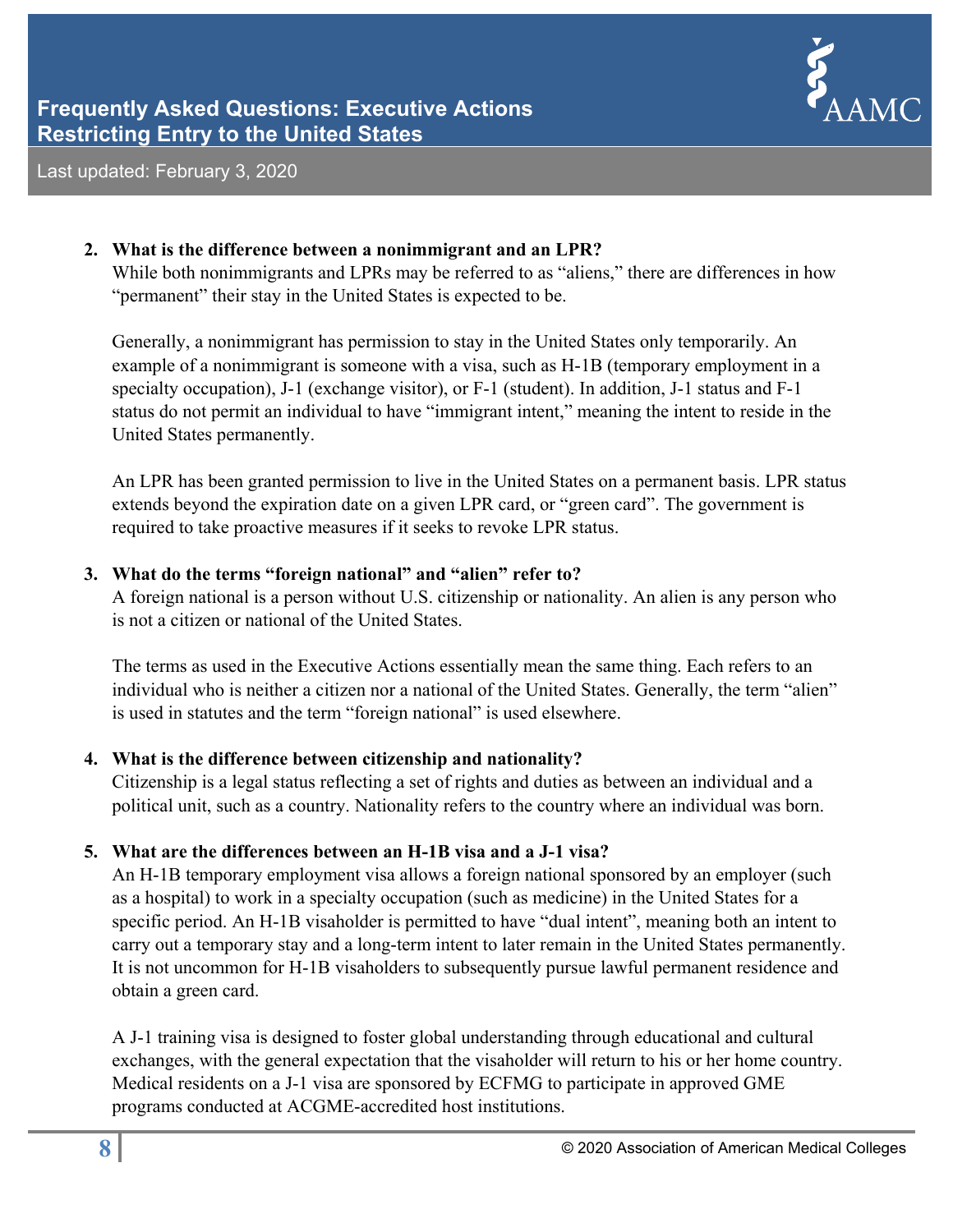

#### **2. What is the difference between a nonimmigrant and an LPR?**

While both nonimmigrants and LPRs may be referred to as "aliens," there are differences in how "permanent" their stay in the United States is expected to be.

Generally, a nonimmigrant has permission to stay in the United States only temporarily. An example of a nonimmigrant is someone with a visa, such as H-1B (temporary employment in a specialty occupation), J-1 (exchange visitor), or F-1 (student). In addition, J-1 status and F-1 status do not permit an individual to have "immigrant intent," meaning the intent to reside in the United States permanently.

An LPR has been granted permission to live in the United States on a permanent basis. LPR status extends beyond the expiration date on a given LPR card, or "green card". The government is required to take proactive measures if it seeks to revoke LPR status.

#### **3. What do the terms "foreign national" and "alien" refer to?**

A foreign national is a person without U.S. citizenship or nationality. An alien is any person who is not a citizen or national of the United States.

The terms as used in the Executive Actions essentially mean the same thing. Each refers to an individual who is neither a citizen nor a national of the United States. Generally, the term "alien" is used in statutes and the term "foreign national" is used elsewhere.

## **4. What is the difference between citizenship and nationality?**

Citizenship is a legal status reflecting a set of rights and duties as between an individual and a political unit, such as a country. Nationality refers to the country where an individual was born.

## **5. What are the differences between an H-1B visa and a J-1 visa?**

An H-1B temporary employment visa allows a foreign national sponsored by an employer (such as a hospital) to work in a specialty occupation (such as medicine) in the United States for a specific period. An H-1B visaholder is permitted to have "dual intent", meaning both an intent to carry out a temporary stay and a long-term intent to later remain in the United States permanently. It is not uncommon for H-1B visaholders to subsequently pursue lawful permanent residence and obtain a green card.

A J-1 training visa is designed to foster global understanding through educational and cultural exchanges, with the general expectation that the visaholder will return to his or her home country. Medical residents on a J-1 visa are sponsored by ECFMG to participate in approved GME programs conducted at ACGME-accredited host institutions.